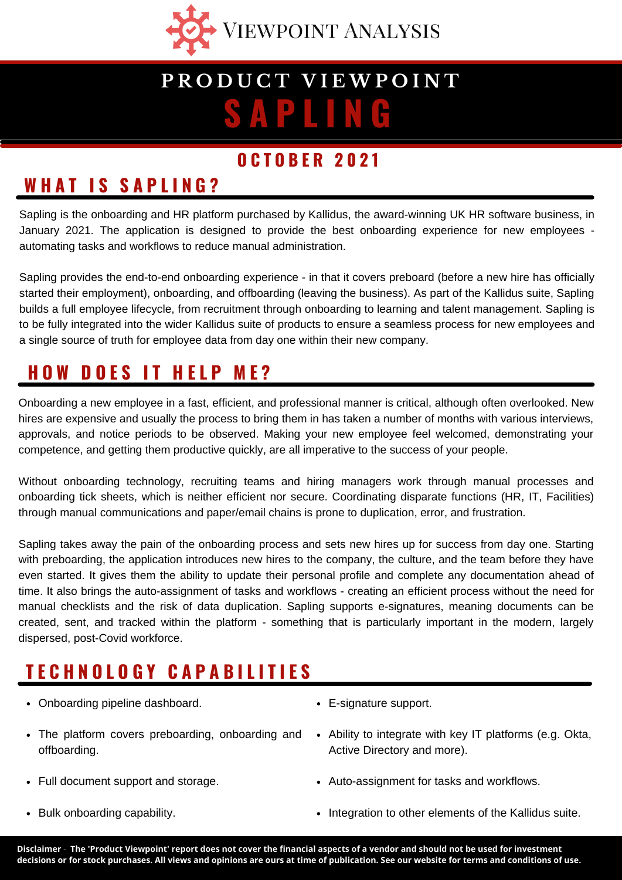

# **S A P L I N G P R O D U C T V I E W P O I N T**

#### **O C T O B E R 2 0 2 1**

### **W H A T I S S A P L I N G ?**

Sapling is the onboarding and HR platform purchased by Kallidus, the award-winning UK HR software business, in January 2021. The application is designed to provide the best onboarding experience for new employees automating tasks and workflows to reduce manual administration.

Sapling provides the end-to-end onboarding experience - in that it covers preboard (before a new hire has officially started their employment), onboarding, and offboarding (leaving the business). As part of the Kallidus suite, Sapling builds a full employee lifecycle, from recruitment through onboarding to learning and talent management. Sapling is to be fully integrated into the wider Kallidus suite of products to ensure a seamless process for new employees and a single source of truth for employee data from day one within their new company.

## **H O W D O E S I T H E L P M E ?**

Onboarding a new employee in a fast, efficient, and professional manner is critical, although often overlooked. New hires are expensive and usually the process to bring them in has taken a number of months with various interviews, approvals, and notice periods to be observed. Making your new employee feel welcomed, demonstrating your competence, and getting them productive quickly, are all imperative to the success of your people.

Without onboarding technology, recruiting teams and hiring managers work through manual processes and onboarding tick sheets, which is neither efficient nor secure. Coordinating disparate functions (HR, IT, Facilities) through manual communications and paper/email chains is prone to duplication, error, and frustration.

Sapling takes away the pain of the onboarding process and sets new hires up for success from day one. Starting with preboarding, the application introduces new hires to the company, the culture, and the team before they have even started. It gives them the ability to update their personal profile and complete any documentation ahead of time. It also brings the auto-assignment of tasks and workflows - creating an efficient process without the need for manual checklists and the risk of data duplication. Sapling supports e-signatures, meaning documents can be created, sent, and tracked within the platform - something that is particularly important in the modern, largely dispersed, post-Covid workforce.

## **T E C H N O L O G Y C A P A B I L I T I E S**

- Onboarding pipeline dashboard.
- The platform covers preboarding, onboarding and offboarding.
- Full document support and storage.
- Bulk onboarding capability.
- E-signature support.
- Ability to integrate with key IT platforms (e.g. Okta, Active Directory and more).
- Auto-assignment for tasks and workflows.
- Integration to other elements of the Kallidus suite.